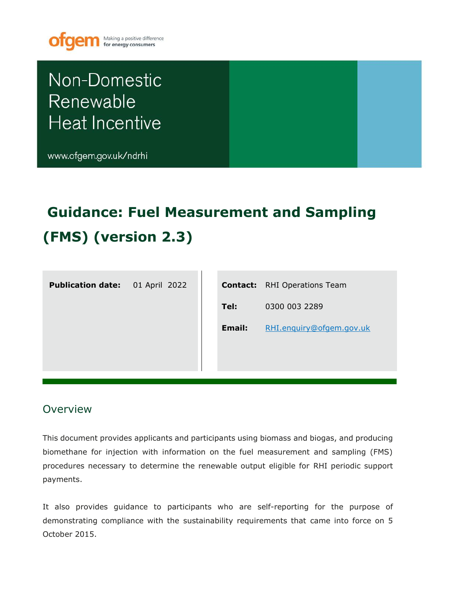

# Non-Domestic Renewable **Heat Incentive**

www.ofgem.gov.uk/ndrhi

# **Guidance: Fuel Measurement and Sampling (FMS) (version 2.3)**

**Publication date:** 01 April 2022

|        | <b>Contact:</b> RHI Operations Team |
|--------|-------------------------------------|
| Tel:   | 0300 003 2289                       |
| Email: | RHI.enguiry@ofgem.gov.uk            |
|        |                                     |
|        |                                     |

## **Overview**

This document provides applicants and participants using biomass and biogas, and producing biomethane for injection with information on the fuel measurement and sampling (FMS) procedures necessary to determine the renewable output eligible for RHI periodic support payments.

It also provides guidance to participants who are self-reporting for the purpose of demonstrating compliance with the sustainability requirements that came into force on 5 October 2015.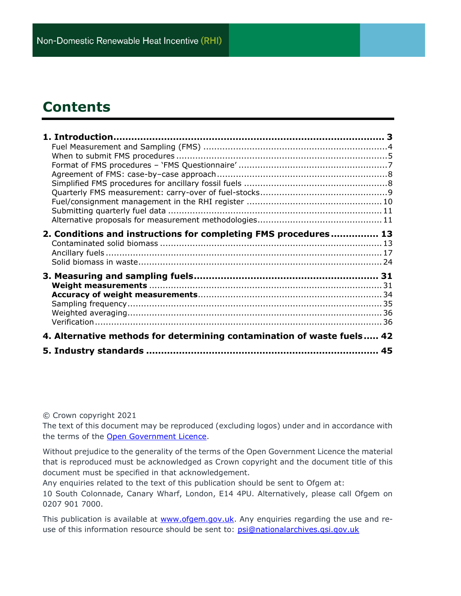## **Contents**

| 2. Conditions and instructions for completing FMS procedures 13        |  |
|------------------------------------------------------------------------|--|
|                                                                        |  |
|                                                                        |  |
|                                                                        |  |
|                                                                        |  |
|                                                                        |  |
|                                                                        |  |
|                                                                        |  |
|                                                                        |  |
|                                                                        |  |
|                                                                        |  |
| 4. Alternative methods for determining contamination of waste fuels 42 |  |
|                                                                        |  |

#### © Crown copyright 2021

The text of this document may be reproduced (excluding logos) under and in accordance with the terms of the [Open Government Licence.](http://www.nationalarchives.gov.uk/doc/open-government-licence/version/3/)

Without prejudice to the generality of the terms of the Open Government Licence the material that is reproduced must be acknowledged as Crown copyright and the document title of this document must be specified in that acknowledgement.

Any enquiries related to the text of this publication should be sent to Ofgem at: 10 South Colonnade, Canary Wharf, London, E14 4PU. Alternatively, please call Ofgem on

0207 901 7000. This publication is available at [www.ofgem.gov.uk.](http://www.ofgem.gov.uk/) Any enquiries regarding the use and re-

use of this information resource should be sent to: [psi@nationalarchives.gsi.gov.uk](mailto:psi@nationalarchives.gsi.gov.uk)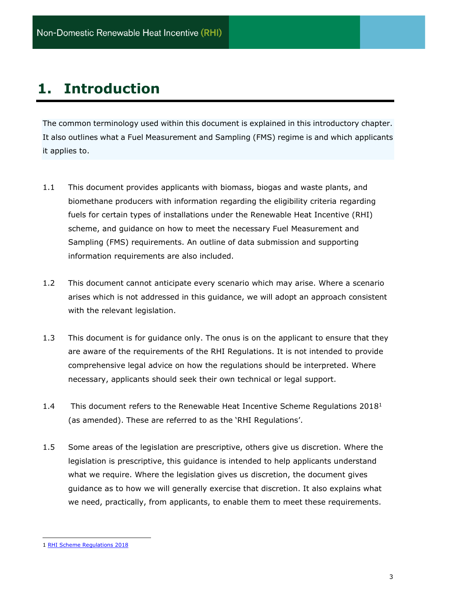## <span id="page-2-0"></span>**1. Introduction**

The common terminology used within this document is explained in this introductory chapter. It also outlines what a Fuel Measurement and Sampling (FMS) regime is and which applicants it applies to.

- 1.1 This document provides applicants with biomass, biogas and waste plants, and biomethane producers with information regarding the eligibility criteria regarding fuels for certain types of installations under the Renewable Heat Incentive (RHI) scheme, and guidance on how to meet the necessary Fuel Measurement and Sampling (FMS) requirements. An outline of data submission and supporting information requirements are also included.
- 1.2 This document cannot anticipate every scenario which may arise. Where a scenario arises which is not addressed in this guidance, we will adopt an approach consistent with the relevant legislation.
- 1.3 This document is for guidance only. The onus is on the applicant to ensure that they are aware of the requirements of the RHI Regulations. It is not intended to provide comprehensive legal advice on how the regulations should be interpreted. Where necessary, applicants should seek their own technical or legal support.
- 1.4 This document refers to the Renewable Heat Incentive Scheme Regulations  $2018<sup>1</sup>$ (as amended). These are referred to as the 'RHI Regulations'.
- 1.5 Some areas of the legislation are prescriptive, others give us discretion. Where the legislation is prescriptive, this guidance is intended to help applicants understand what we require. Where the legislation gives us discretion, the document gives guidance as to how we will generally exercise that discretion. It also explains what we need, practically, from applicants, to enable them to meet these requirements.

<sup>1</sup> [RHI Scheme Regulations 2018](http://www.legislation.gov.uk/all?title=renewable%20heat%20incentive)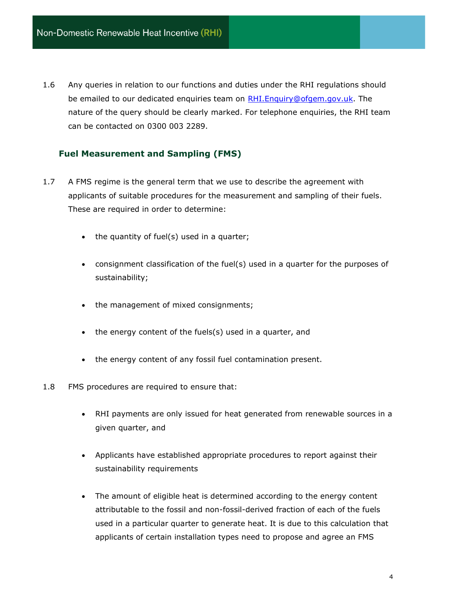1.6 Any queries in relation to our functions and duties under the RHI regulations should be emailed to our dedicated enquiries team on RHI. Enquiry@ofgem.gov.uk. The nature of the query should be clearly marked. For telephone enquiries, the RHI team can be contacted on 0300 003 2289.

## <span id="page-3-0"></span>**Fuel Measurement and Sampling (FMS)**

- 1.7 A FMS regime is the general term that we use to describe the agreement with applicants of suitable procedures for the measurement and sampling of their fuels. These are required in order to determine:
	- the quantity of fuel(s) used in a quarter;
	- consignment classification of the fuel(s) used in a quarter for the purposes of sustainability;
	- the management of mixed consignments;
	- the energy content of the fuels(s) used in a quarter, and
	- the energy content of any fossil fuel contamination present.
- 1.8 FMS procedures are required to ensure that:
	- RHI payments are only issued for heat generated from renewable sources in a given quarter, and
	- Applicants have established appropriate procedures to report against their sustainability requirements
	- The amount of eligible heat is determined according to the energy content attributable to the fossil and non-fossil-derived fraction of each of the fuels used in a particular quarter to generate heat. It is due to this calculation that applicants of certain installation types need to propose and agree an FMS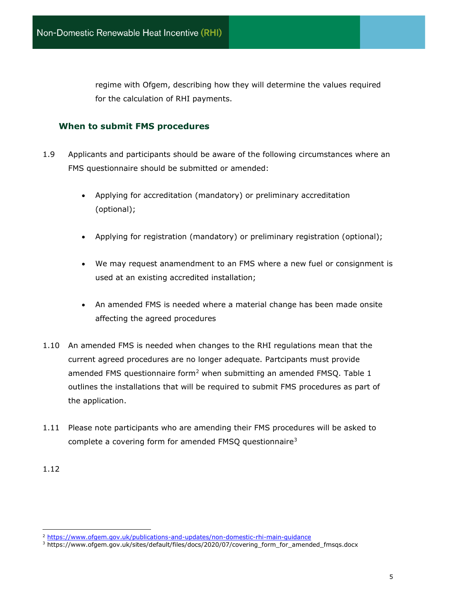regime with Ofgem, describing how they will determine the values required for the calculation of RHI payments.

## <span id="page-4-0"></span>**When to submit FMS procedures**

- 1.9 Applicants and participants should be aware of the following circumstances where an FMS questionnaire should be submitted or amended:
	- Applying for accreditation (mandatory) or preliminary accreditation (optional);
	- Applying for registration (mandatory) or preliminary registration (optional);
	- We may request anamendment to an FMS where a new fuel or consignment is used at an existing accredited installation;
	- An amended FMS is needed where a material change has been made onsite affecting the agreed procedures
- 1.10 An amended FMS is needed when changes to the RHI regulations mean that the current agreed procedures are no longer adequate. Partcipants must provide amended FMS questionnaire form<sup>2</sup> when submitting an amended FMSQ. Table 1 outlines the installations that will be required to submit FMS procedures as part of the application.
- 1.11 Please note participants who are amending their FMS procedures will be asked to complete a covering form for amended FMSQ questionnaire<sup>3</sup>

<sup>1.12</sup>

<sup>2</sup> <https://www.ofgem.gov.uk/publications-and-updates/non-domestic-rhi-main-guidance>

<sup>&</sup>lt;sup>3</sup> https://www.ofgem.gov.uk/sites/default/files/docs/2020/07/covering\_form\_for\_amended\_fmsqs.docx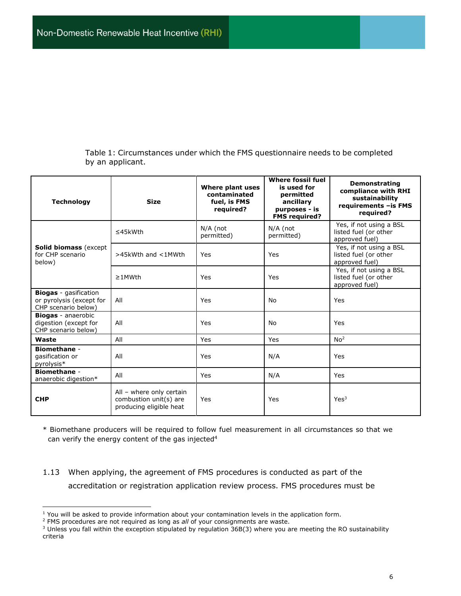Table 1: Circumstances under which the FMS questionnaire needs to be completed by an applicant.

| <b>Technology</b>                                                               | <b>Size</b>                                                                   | Where plant uses<br>contaminated<br>fuel, is FMS<br>required? | <b>Where fossil fuel</b><br>is used for<br>permitted<br>ancillary<br>purposes - is<br><b>FMS required?</b> | <b>Demonstrating</b><br>compliance with RHI<br>sustainability<br>requirements - is FMS<br>required? |
|---------------------------------------------------------------------------------|-------------------------------------------------------------------------------|---------------------------------------------------------------|------------------------------------------------------------------------------------------------------------|-----------------------------------------------------------------------------------------------------|
|                                                                                 | $\leq$ 45kWth                                                                 | N/A (not<br>permitted)                                        | N/A (not<br>permitted)                                                                                     | Yes, if not using a BSL<br>listed fuel (or other<br>approved fuel)                                  |
| <b>Solid biomass (except</b><br>for CHP scenario<br>below)                      | >45kWth and <1MWth                                                            | Yes                                                           | Yes                                                                                                        | Yes, if not using a BSL<br>listed fuel (or other<br>approved fuel)                                  |
|                                                                                 | $\geq$ 1MWth                                                                  | Yes                                                           | Yes                                                                                                        | Yes, if not using a BSL<br>listed fuel (or other<br>approved fuel)                                  |
| <b>Biogas</b> - gasification<br>or pyrolysis (except for<br>CHP scenario below) | All                                                                           | Yes                                                           | No                                                                                                         | Yes                                                                                                 |
| <b>Biogas</b> - anaerobic<br>digestion (except for<br>CHP scenario below)       | All                                                                           | Yes                                                           | No                                                                                                         | Yes                                                                                                 |
| Waste                                                                           | All                                                                           | Yes                                                           | Yes                                                                                                        | No <sup>2</sup>                                                                                     |
| <b>Biomethane -</b><br>qasification or<br>pyrolysis*                            | All                                                                           | Yes                                                           | N/A                                                                                                        | Yes                                                                                                 |
| <b>Biomethane -</b><br>anaerobic digestion*                                     | All                                                                           | Yes                                                           | N/A                                                                                                        | Yes                                                                                                 |
| <b>CHP</b>                                                                      | All - where only certain<br>combustion unit(s) are<br>producing eligible heat | Yes                                                           | Yes                                                                                                        | Yes <sup>3</sup>                                                                                    |

\* Biomethane producers will be required to follow fuel measurement in all circumstances so that we can verify the energy content of the gas injected<sup>4</sup>

1.13 When applying, the agreement of FMS procedures is conducted as part of the accreditation or registration application review process. FMS procedures must be

 $<sup>1</sup>$  You will be asked to provide information about your contamination levels in the application form.</sup>

<sup>&</sup>lt;sup>2</sup> FMS procedures are not required as long as *all* of your consignments are waste.

 $3$  Unless you fall within the exception stipulated by regulation  $36B(3)$  where you are meeting the RO sustainability criteria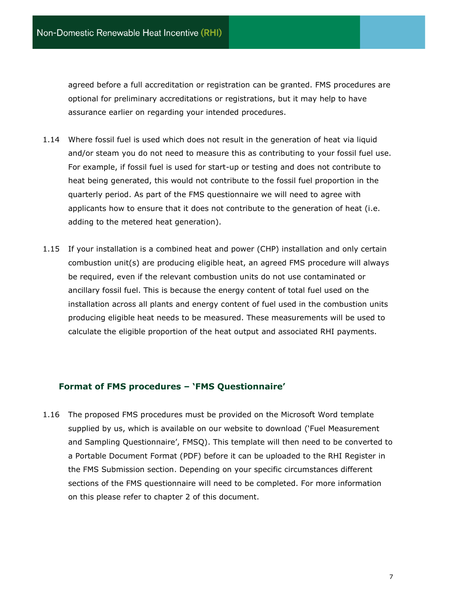agreed before a full accreditation or registration can be granted. FMS procedures are optional for preliminary accreditations or registrations, but it may help to have assurance earlier on regarding your intended procedures.

- 1.14 Where fossil fuel is used which does not result in the generation of heat via liquid and/or steam you do not need to measure this as contributing to your fossil fuel use. For example, if fossil fuel is used for start-up or testing and does not contribute to heat being generated, this would not contribute to the fossil fuel proportion in the quarterly period. As part of the FMS questionnaire we will need to agree with applicants how to ensure that it does not contribute to the generation of heat (i.e. adding to the metered heat generation).
- 1.15 If your installation is a combined heat and power (CHP) installation and only certain combustion unit(s) are producing eligible heat, an agreed FMS procedure will always be required, even if the relevant combustion units do not use contaminated or ancillary fossil fuel. This is because the energy content of total fuel used on the installation across all plants and energy content of fuel used in the combustion units producing eligible heat needs to be measured. These measurements will be used to calculate the eligible proportion of the heat output and associated RHI payments.

## <span id="page-6-0"></span>**Format of FMS procedures – 'FMS Questionnaire'**

1.16 The proposed FMS procedures must be provided on the Microsoft Word template supplied by us, which is available on our website to download ('Fuel Measurement and Sampling Questionnaire', FMSQ). This template will then need to be converted to a Portable Document Format (PDF) before it can be uploaded to the RHI Register in the FMS Submission section. Depending on your specific circumstances different sections of the FMS questionnaire will need to be completed. For more information on this please refer to chapter 2 of this document.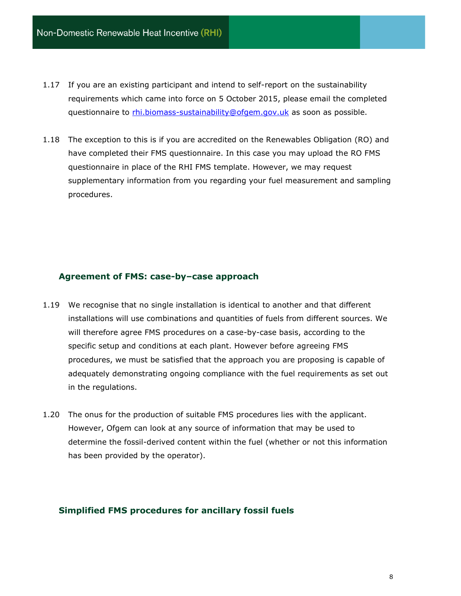- 1.17 If you are an existing participant and intend to self-report on the sustainability requirements which came into force on 5 October 2015, please email the completed questionnaire to [rhi.biomass-sustainability@ofgem.gov.uk](mailto:rhi.biomass-sustainability@ofgem.gov.uk) as soon as possible.
- 1.18 The exception to this is if you are accredited on the Renewables Obligation (RO) and have completed their FMS questionnaire. In this case you may upload the RO FMS questionnaire in place of the RHI FMS template. However, we may request supplementary information from you regarding your fuel measurement and sampling procedures.

#### <span id="page-7-0"></span>**Agreement of FMS: case-by–case approach**

- 1.19 We recognise that no single installation is identical to another and that different installations will use combinations and quantities of fuels from different sources. We will therefore agree FMS procedures on a case-by-case basis, according to the specific setup and conditions at each plant. However before agreeing FMS procedures, we must be satisfied that the approach you are proposing is capable of adequately demonstrating ongoing compliance with the fuel requirements as set out in the regulations.
- 1.20 The onus for the production of suitable FMS procedures lies with the applicant. However, Ofgem can look at any source of information that may be used to determine the fossil-derived content within the fuel (whether or not this information has been provided by the operator).

#### <span id="page-7-1"></span>**Simplified FMS procedures for ancillary fossil fuels**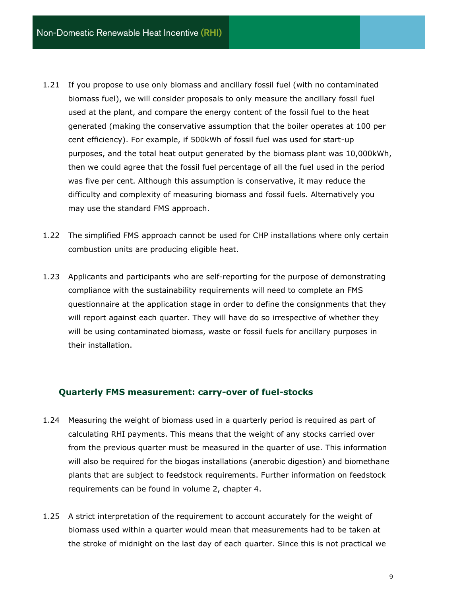- 1.21 If you propose to use only biomass and ancillary fossil fuel (with no contaminated biomass fuel), we will consider proposals to only measure the ancillary fossil fuel used at the plant, and compare the energy content of the fossil fuel to the heat generated (making the conservative assumption that the boiler operates at 100 per cent efficiency). For example, if 500kWh of fossil fuel was used for start-up purposes, and the total heat output generated by the biomass plant was 10,000kWh, then we could agree that the fossil fuel percentage of all the fuel used in the period was five per cent. Although this assumption is conservative, it may reduce the difficulty and complexity of measuring biomass and fossil fuels. Alternatively you may use the standard FMS approach.
- 1.22 The simplified FMS approach cannot be used for CHP installations where only certain combustion units are producing eligible heat.
- 1.23 Applicants and participants who are self-reporting for the purpose of demonstrating compliance with the sustainability requirements will need to complete an FMS questionnaire at the application stage in order to define the consignments that they will report against each quarter. They will have do so irrespective of whether they will be using contaminated biomass, waste or fossil fuels for ancillary purposes in their installation.

#### <span id="page-8-0"></span>**Quarterly FMS measurement: carry-over of fuel-stocks**

- 1.24 Measuring the weight of biomass used in a quarterly period is required as part of calculating RHI payments. This means that the weight of any stocks carried over from the previous quarter must be measured in the quarter of use. This information will also be required for the biogas installations (anerobic digestion) and biomethane plants that are subject to feedstock requirements. Further information on feedstock requirements can be found in volume 2, chapter 4.
- 1.25 A strict interpretation of the requirement to account accurately for the weight of biomass used within a quarter would mean that measurements had to be taken at the stroke of midnight on the last day of each quarter. Since this is not practical we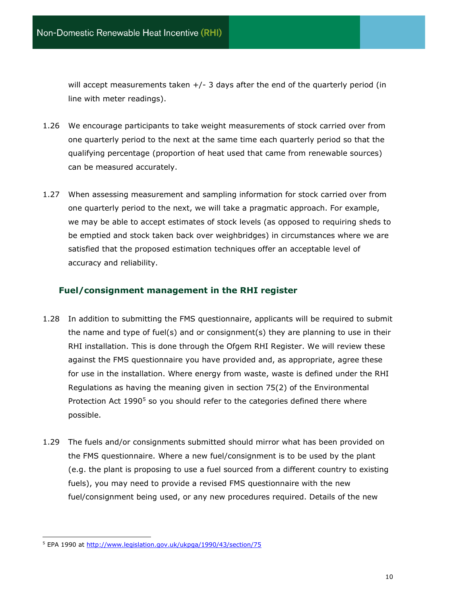will accept measurements taken  $+/-$  3 days after the end of the quarterly period (in line with meter readings).

- 1.26 We encourage participants to take weight measurements of stock carried over from one quarterly period to the next at the same time each quarterly period so that the qualifying percentage (proportion of heat used that came from renewable sources) can be measured accurately.
- 1.27 When assessing measurement and sampling information for stock carried over from one quarterly period to the next, we will take a pragmatic approach. For example, we may be able to accept estimates of stock levels (as opposed to requiring sheds to be emptied and stock taken back over weighbridges) in circumstances where we are satisfied that the proposed estimation techniques offer an acceptable level of accuracy and reliability.

## <span id="page-9-0"></span>**Fuel/consignment management in the RHI register**

- 1.28 In addition to submitting the FMS questionnaire, applicants will be required to submit the name and type of fuel(s) and or consignment(s) they are planning to use in their RHI installation. This is done through the Ofgem RHI Register. We will review these against the FMS questionnaire you have provided and, as appropriate, agree these for use in the installation. Where energy from waste, waste is defined under the RHI Regulations as having the meaning given in section 75(2) of the Environmental Protection Act 1990<sup>5</sup> so you should refer to the categories defined there where possible.
- 1.29 The fuels and/or consignments submitted should mirror what has been provided on the FMS questionnaire. Where a new fuel/consignment is to be used by the plant (e.g. the plant is proposing to use a fuel sourced from a different country to existing fuels), you may need to provide a revised FMS questionnaire with the new fuel/consignment being used, or any new procedures required. Details of the new

<sup>&</sup>lt;sup>5</sup> EPA 1990 at<http://www.legislation.gov.uk/ukpga/1990/43/section/75>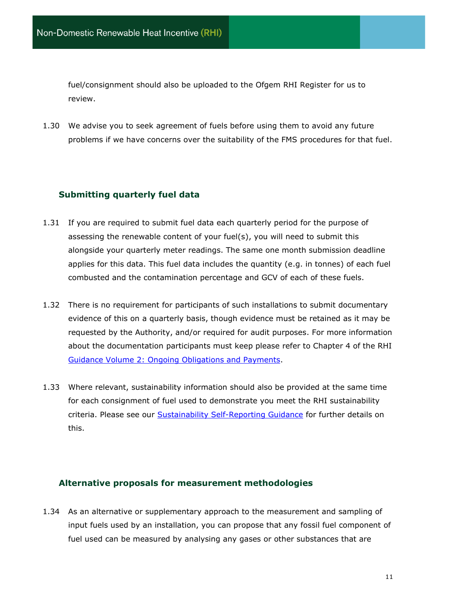fuel/consignment should also be uploaded to the Ofgem RHI Register for us to review.

1.30 We advise you to seek agreement of fuels before using them to avoid any future problems if we have concerns over the suitability of the FMS procedures for that fuel.

## <span id="page-10-0"></span>**Submitting quarterly fuel data**

- 1.31 If you are required to submit fuel data each quarterly period for the purpose of assessing the renewable content of your fuel(s), you will need to submit this alongside your quarterly meter readings. The same one month submission deadline applies for this data. This fuel data includes the quantity (e.g. in tonnes) of each fuel combusted and the contamination percentage and GCV of each of these fuels.
- 1.32 There is no requirement for participants of such installations to submit documentary evidence of this on a quarterly basis, though evidence must be retained as it may be requested by the Authority, and/or required for audit purposes. For more information about the documentation participants must keep please refer to Chapter 4 of the RHI [Guidance Volume 2: Ongoing Obligations and Payments.](https://www.ofgem.gov.uk/publications/non-domestic-rhi-main-guidance)
- 1.33 Where relevant, sustainability information should also be provided at the same time for each consignment of fuel used to demonstrate you meet the RHI sustainability criteria. Please see our [Sustainability Self-Reporting Guidance](http://www.ofgem.gov.uk/ndrhi-guidance) for further details on this.

## <span id="page-10-1"></span>**Alternative proposals for measurement methodologies**

1.34 As an alternative or supplementary approach to the measurement and sampling of input fuels used by an installation, you can propose that any fossil fuel component of fuel used can be measured by analysing any gases or other substances that are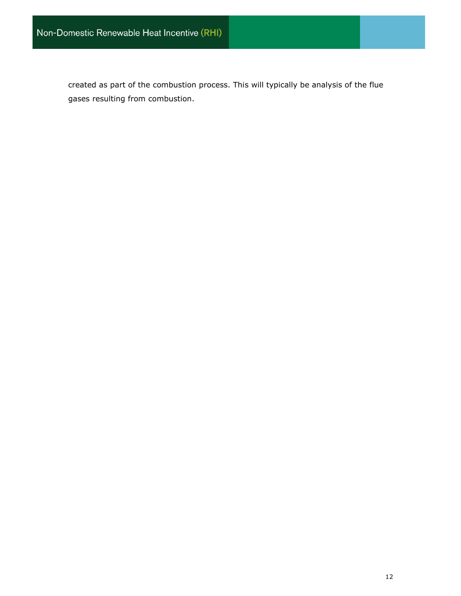created as part of the combustion process. This will typically be analysis of the flue gases resulting from combustion.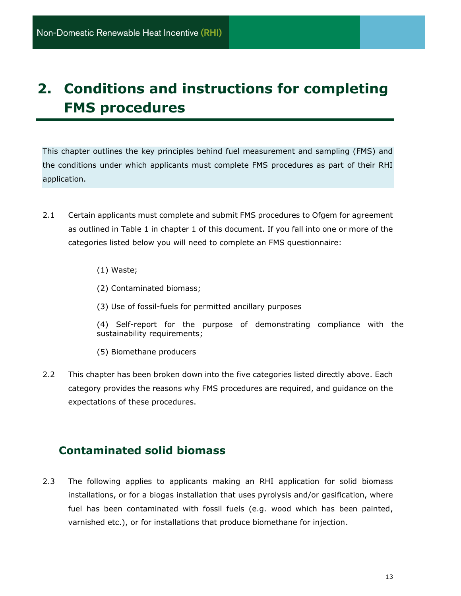## <span id="page-12-0"></span>**2. Conditions and instructions for completing FMS procedures**

This chapter outlines the key principles behind fuel measurement and sampling (FMS) and the conditions under which applicants must complete FMS procedures as part of their RHI application.

- 2.1 Certain applicants must complete and submit FMS procedures to Ofgem for agreement as outlined in Table 1 in chapter 1 of this document. If you fall into one or more of the categories listed below you will need to complete an FMS questionnaire:
	- (1) Waste;
	- (2) Contaminated biomass;
	- (3) Use of fossil-fuels for permitted ancillary purposes
	- (4) Self-report for the purpose of demonstrating compliance with the sustainability requirements;
	- (5) Biomethane producers
- 2.2 This chapter has been broken down into the five categories listed directly above. Each category provides the reasons why FMS procedures are required, and guidance on the expectations of these procedures.

## <span id="page-12-1"></span>**Contaminated solid biomass**

2.3 The following applies to applicants making an RHI application for solid biomass installations, or for a biogas installation that uses pyrolysis and/or gasification, where fuel has been contaminated with fossil fuels (e.g. wood which has been painted, varnished etc.), or for installations that produce biomethane for injection.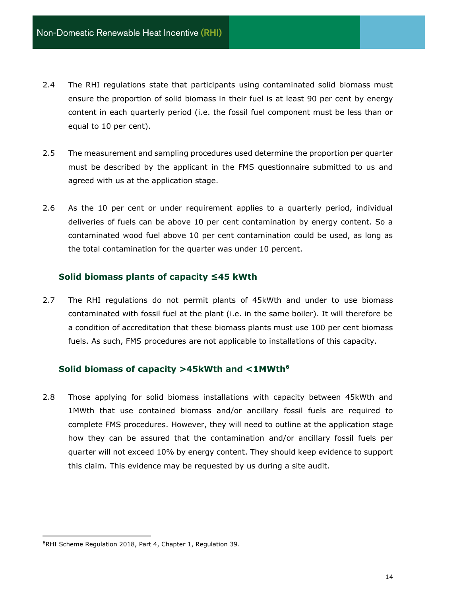- 2.4 The RHI regulations state that participants using contaminated solid biomass must ensure the proportion of solid biomass in their fuel is at least 90 per cent by energy content in each quarterly period (i.e. the fossil fuel component must be less than or equal to 10 per cent).
- 2.5 The measurement and sampling procedures used determine the proportion per quarter must be described by the applicant in the FMS questionnaire submitted to us and agreed with us at the application stage.
- 2.6 As the 10 per cent or under requirement applies to a quarterly period, individual deliveries of fuels can be above 10 per cent contamination by energy content. So a contaminated wood fuel above 10 per cent contamination could be used, as long as the total contamination for the quarter was under 10 percent.

#### **Solid biomass plants of capacity ≤45 kWth**

2.7 The RHI regulations do not permit plants of 45kWth and under to use biomass contaminated with fossil fuel at the plant (i.e. in the same boiler). It will therefore be a condition of accreditation that these biomass plants must use 100 per cent biomass fuels. As such, FMS procedures are not applicable to installations of this capacity.

## **Solid biomass of capacity >45kWth and <1MWth<sup>6</sup>**

2.8 Those applying for solid biomass installations with capacity between 45kWth and 1MWth that use contained biomass and/or ancillary fossil fuels are required to complete FMS procedures. However, they will need to outline at the application stage how they can be assured that the contamination and/or ancillary fossil fuels per quarter will not exceed 10% by energy content. They should keep evidence to support this claim. This evidence may be requested by us during a site audit.

<sup>6</sup>RHI Scheme Regulation 2018, Part 4, Chapter 1, Regulation 39.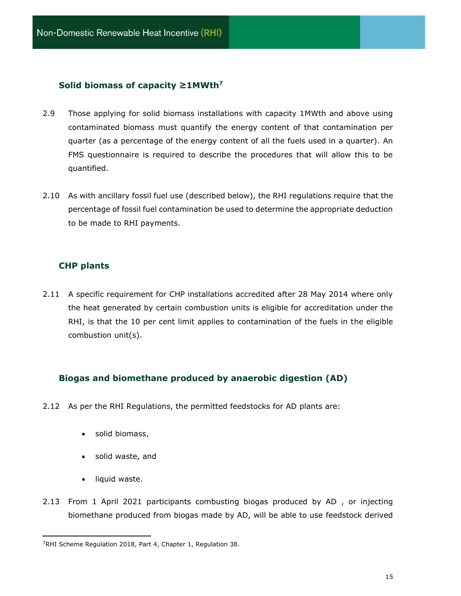## **Solid biomass of capacity ≥1MWth<sup>7</sup>**

- 2.9 Those applying for solid biomass installations with capacity 1MWth and above using contaminated biomass must quantify the energy content of that contamination per quarter (as a percentage of the energy content of all the fuels used in a quarter). An FMS questionnaire is required to describe the procedures that will allow this to be quantified.
- 2.10 As with ancillary fossil fuel use (described below), the RHI regulations require that the percentage of fossil fuel contamination be used to determine the appropriate deduction to be made to RHI payments.

## **CHP plants**

2.11 A specific requirement for CHP installations accredited after 28 May 2014 where only the heat generated by certain combustion units is eligible for accreditation under the RHI, is that the 10 per cent limit applies to contamination of the fuels in the eligible combustion unit(s).

## **Biogas and biomethane produced by anaerobic digestion (AD)**

- 2.12 As per the RHI Regulations, the permitted feedstocks for AD plants are:
	- solid biomass,
	- solid waste, and
	- liquid waste.
- 2.13 From 1 April 2021 participants combusting biogas produced by AD , or injecting biomethane produced from biogas made by AD, will be able to use feedstock derived

<sup>&</sup>lt;sup>7</sup>RHI Scheme Regulation 2018, Part 4, Chapter 1, Regulation 38.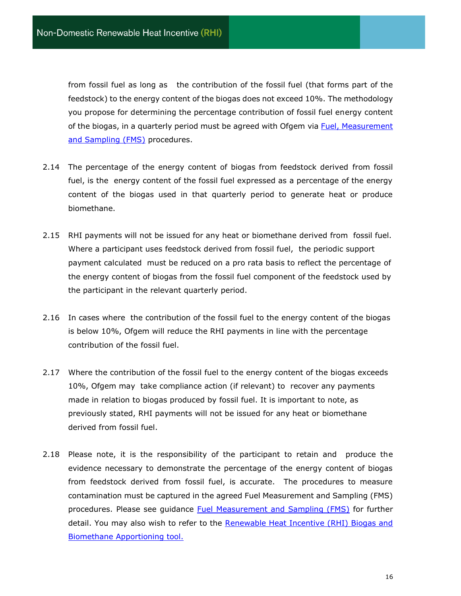from fossil fuel as long as the contribution of the fossil fuel (that forms part of the feedstock) to the energy content of the biogas does not exceed 10%. The methodology you propose for determining the percentage contribution of fossil fuel energy content of the biogas, in a quarterly period must be agreed with Ofgem via Fuel, Measurement [and Sampling \(FMS\)](https://www.ofgem.gov.uk/system/files/docs/2018/05/fuel_measurement_and_sampling_fms_guidance.pdf) procedures.

- 2.14 The percentage of the energy content of biogas from feedstock derived from fossil fuel, is the energy content of the fossil fuel expressed as a percentage of the energy content of the biogas used in that quarterly period to generate heat or produce biomethane.
- 2.15 RHI payments will not be issued for any heat or biomethane derived from fossil fuel. Where a participant uses feedstock derived from fossil fuel, the periodic support payment calculated must be reduced on a pro rata basis to reflect the percentage of the energy content of biogas from the fossil fuel component of the feedstock used by the participant in the relevant quarterly period.
- 2.16 In cases where the contribution of the fossil fuel to the energy content of the biogas is below 10%, Ofgem will reduce the RHI payments in line with the percentage contribution of the fossil fuel.
- 2.17 Where the contribution of the fossil fuel to the energy content of the biogas exceeds 10%, Ofgem may take compliance action (if relevant) to recover any payments made in relation to biogas produced by fossil fuel. It is important to note, as previously stated, RHI payments will not be issued for any heat or biomethane derived from fossil fuel.
- 2.18 Please note, it is the responsibility of the participant to retain and produce the evidence necessary to demonstrate the percentage of the energy content of biogas from feedstock derived from fossil fuel, is accurate. The procedures to measure contamination must be captured in the agreed Fuel Measurement and Sampling (FMS) procedures. Please see guidance [Fuel Measurement and Sampling \(FMS\)](https://www.ofgem.gov.uk/system/files/docs/2018/05/fuel_measurement_and_sampling_fms_guidance.pdf) for further detail. You may also wish to refer to the [Renewable Heat Incentive \(RHI\) Biogas and](https://www.ofgem.gov.uk/sites/default/files/docs/2015/10/rhi_biogas_and_biomethane_apportioning_tool_published.xlsx)  [Biomethane Apportioning tool.](https://www.ofgem.gov.uk/sites/default/files/docs/2015/10/rhi_biogas_and_biomethane_apportioning_tool_published.xlsx)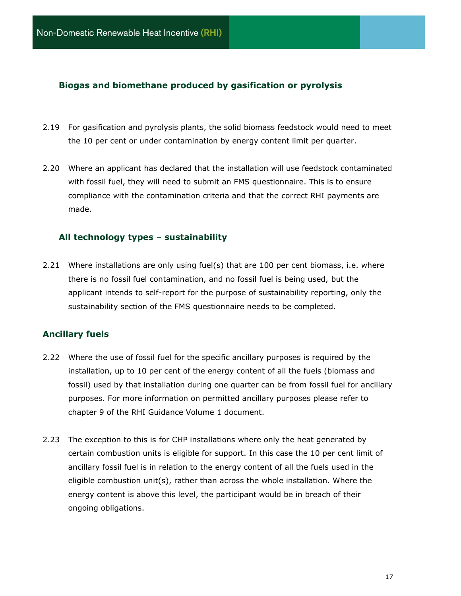## **Biogas and biomethane produced by gasification or pyrolysis**

- 2.19 For gasification and pyrolysis plants, the solid biomass feedstock would need to meet the 10 per cent or under contamination by energy content limit per quarter.
- 2.20 Where an applicant has declared that the installation will use feedstock contaminated with fossil fuel, they will need to submit an FMS questionnaire. This is to ensure compliance with the contamination criteria and that the correct RHI payments are made.

## <span id="page-16-0"></span>**All technology types** – **sustainability**

2.21 Where installations are only using fuel(s) that are 100 per cent biomass, i.e. where there is no fossil fuel contamination, and no fossil fuel is being used, but the applicant intends to self-report for the purpose of sustainability reporting, only the sustainability section of the FMS questionnaire needs to be completed.

## **Ancillary fuels**

- 2.22 Where the use of fossil fuel for the specific ancillary purposes is required by the installation, up to 10 per cent of the energy content of all the fuels (biomass and fossil) used by that installation during one quarter can be from fossil fuel for ancillary purposes. For more information on permitted ancillary purposes please refer to chapter 9 of the RHI Guidance Volume 1 document.
- 2.23 The exception to this is for CHP installations where only the heat generated by certain combustion units is eligible for support. In this case the 10 per cent limit of ancillary fossil fuel is in relation to the energy content of all the fuels used in the eligible combustion unit(s), rather than across the whole installation. Where the energy content is above this level, the participant would be in breach of their ongoing obligations.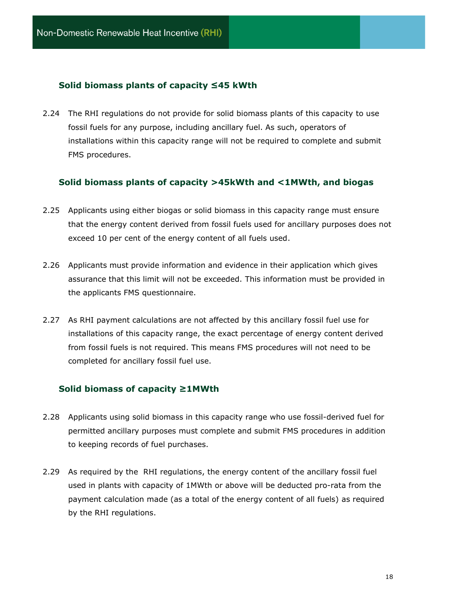## **Solid biomass plants of capacity ≤45 kWth**

2.24 The RHI regulations do not provide for solid biomass plants of this capacity to use fossil fuels for any purpose, including ancillary fuel. As such, operators of installations within this capacity range will not be required to complete and submit FMS procedures.

#### **Solid biomass plants of capacity >45kWth and <1MWth, and biogas**

- 2.25 Applicants using either biogas or solid biomass in this capacity range must ensure that the energy content derived from fossil fuels used for ancillary purposes does not exceed 10 per cent of the energy content of all fuels used.
- 2.26 Applicants must provide information and evidence in their application which gives assurance that this limit will not be exceeded. This information must be provided in the applicants FMS questionnaire.
- 2.27 As RHI payment calculations are not affected by this ancillary fossil fuel use for installations of this capacity range, the exact percentage of energy content derived from fossil fuels is not required. This means FMS procedures will not need to be completed for ancillary fossil fuel use.

#### **Solid biomass of capacity ≥1MWth**

- 2.28 Applicants using solid biomass in this capacity range who use fossil-derived fuel for permitted ancillary purposes must complete and submit FMS procedures in addition to keeping records of fuel purchases.
- 2.29 As required by the RHI regulations, the energy content of the ancillary fossil fuel used in plants with capacity of 1MWth or above will be deducted pro-rata from the payment calculation made (as a total of the energy content of all fuels) as required by the RHI regulations.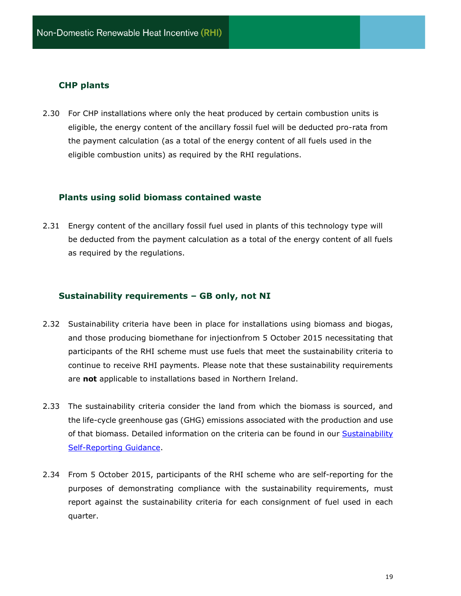## **CHP plants**

2.30 For CHP installations where only the heat produced by certain combustion units is eligible, the energy content of the ancillary fossil fuel will be deducted pro-rata from the payment calculation (as a total of the energy content of all fuels used in the eligible combustion units) as required by the RHI regulations.

#### **Plants using solid biomass contained waste**

2.31 Energy content of the ancillary fossil fuel used in plants of this technology type will be deducted from the payment calculation as a total of the energy content of all fuels as required by the regulations.

## **Sustainability requirements – GB only, not NI**

- 2.32 Sustainability criteria have been in place for installations using biomass and biogas, and those producing biomethane for injectionfrom 5 October 2015 necessitating that participants of the RHI scheme must use fuels that meet the sustainability criteria to continue to receive RHI payments. Please note that these sustainability requirements are **not** applicable to installations based in Northern Ireland.
- 2.33 The sustainability criteria consider the land from which the biomass is sourced, and the life-cycle greenhouse gas (GHG) emissions associated with the production and use of that biomass. Detailed information on the criteria can be found in our Sustainability [Self-Reporting Guidance.](http://www.ofgem.gov.uk/ndrhi-guidance)
- 2.34 From 5 October 2015, participants of the RHI scheme who are self-reporting for the purposes of demonstrating compliance with the sustainability requirements, must report against the sustainability criteria for each consignment of fuel used in each quarter.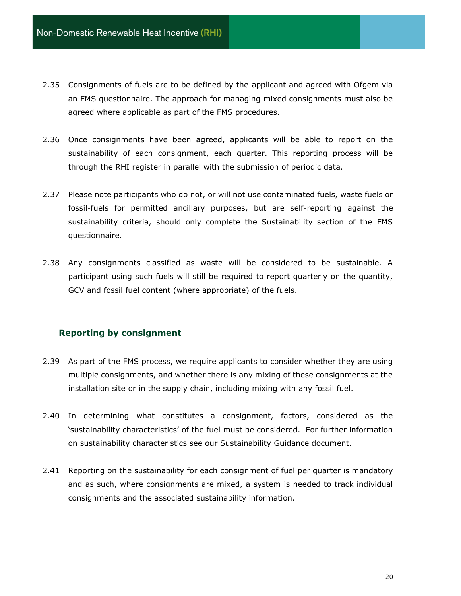- 2.35 Consignments of fuels are to be defined by the applicant and agreed with Ofgem via an FMS questionnaire. The approach for managing mixed consignments must also be agreed where applicable as part of the FMS procedures.
- 2.36 Once consignments have been agreed, applicants will be able to report on the sustainability of each consignment, each quarter. This reporting process will be through the RHI register in parallel with the submission of periodic data.
- 2.37 Please note participants who do not, or will not use contaminated fuels, waste fuels or fossil-fuels for permitted ancillary purposes, but are self-reporting against the sustainability criteria, should only complete the Sustainability section of the FMS questionnaire.
- 2.38 Any consignments classified as waste will be considered to be sustainable. A participant using such fuels will still be required to report quarterly on the quantity, GCV and fossil fuel content (where appropriate) of the fuels.

## **Reporting by consignment**

- 2.39 As part of the FMS process, we require applicants to consider whether they are using multiple consignments, and whether there is any mixing of these consignments at the installation site or in the supply chain, including mixing with any fossil fuel.
- 2.40 In determining what constitutes a consignment, factors, considered as the 'sustainability characteristics' of the fuel must be considered. For further information on sustainability characteristics see our Sustainability Guidance document.
- 2.41 Reporting on the sustainability for each consignment of fuel per quarter is mandatory and as such, where consignments are mixed, a system is needed to track individual consignments and the associated sustainability information.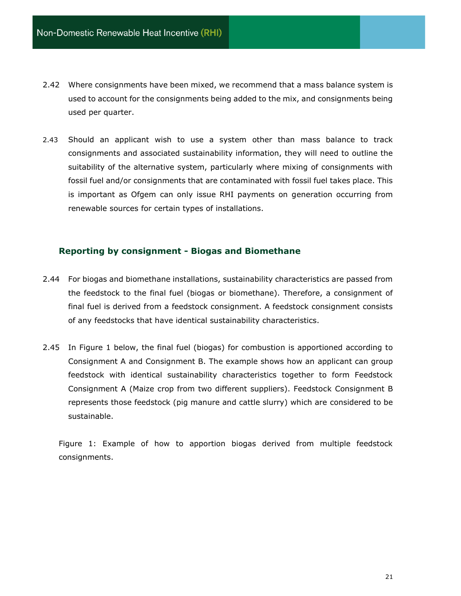- 2.42 Where consignments have been mixed, we recommend that a mass balance system is used to account for the consignments being added to the mix, and consignments being used per quarter.
- 2.43 Should an applicant wish to use a system other than mass balance to track consignments and associated sustainability information, they will need to outline the suitability of the alternative system, particularly where mixing of consignments with fossil fuel and/or consignments that are contaminated with fossil fuel takes place. This is important as Ofgem can only issue RHI payments on generation occurring from renewable sources for certain types of installations.

## **Reporting by consignment - Biogas and Biomethane**

- 2.44 For biogas and biomethane installations, sustainability characteristics are passed from the feedstock to the final fuel (biogas or biomethane). Therefore, a consignment of final fuel is derived from a feedstock consignment. A feedstock consignment consists of any feedstocks that have identical sustainability characteristics.
- 2.45 In Figure 1 below, the final fuel (biogas) for combustion is apportioned according to Consignment A and Consignment B. The example shows how an applicant can group feedstock with identical sustainability characteristics together to form Feedstock Consignment A (Maize crop from two different suppliers). Feedstock Consignment B represents those feedstock (pig manure and cattle slurry) which are considered to be sustainable.

Figure 1: Example of how to apportion biogas derived from multiple feedstock consignments.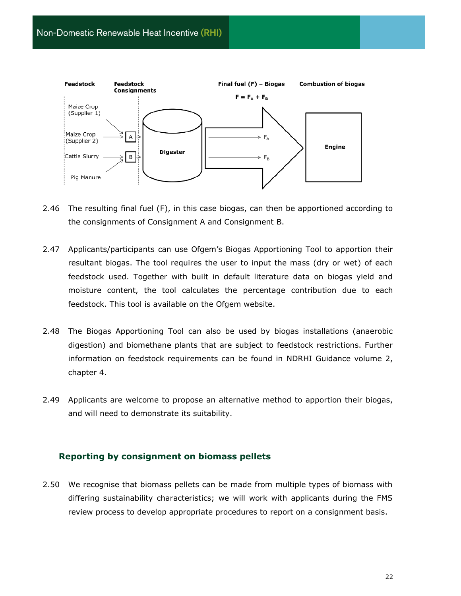

- 2.46 The resulting final fuel (F), in this case biogas, can then be apportioned according to the consignments of Consignment A and Consignment B.
- 2.47 Applicants/participants can use Ofgem's Biogas Apportioning Tool to apportion their resultant biogas. The tool requires the user to input the mass (dry or wet) of each feedstock used. Together with built in default literature data on biogas yield and moisture content, the tool calculates the percentage contribution due to each feedstock. This tool is available on the Ofgem website.
- 2.48 The Biogas Apportioning Tool can also be used by biogas installations (anaerobic digestion) and biomethane plants that are subject to feedstock restrictions. Further information on feedstock requirements can be found in NDRHI Guidance volume 2, chapter 4.
- 2.49 Applicants are welcome to propose an alternative method to apportion their biogas, and will need to demonstrate its suitability.

#### **Reporting by consignment on biomass pellets**

2.50 We recognise that biomass pellets can be made from multiple types of biomass with differing sustainability characteristics; we will work with applicants during the FMS review process to develop appropriate procedures to report on a consignment basis.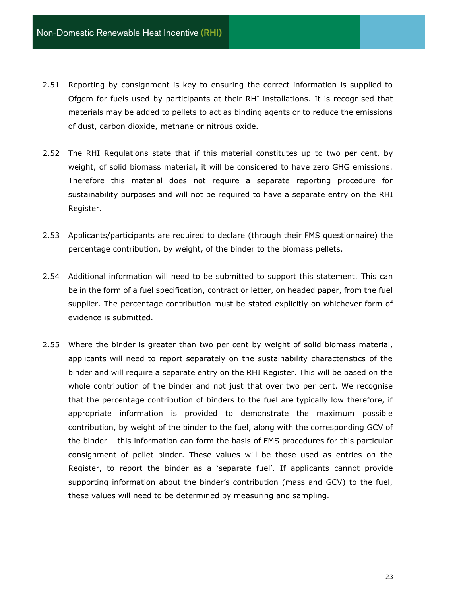- 2.51 Reporting by consignment is key to ensuring the correct information is supplied to Ofgem for fuels used by participants at their RHI installations. It is recognised that materials may be added to pellets to act as binding agents or to reduce the emissions of dust, carbon dioxide, methane or nitrous oxide.
- 2.52 The RHI Regulations state that if this material constitutes up to two per cent, by weight, of solid biomass material, it will be considered to have zero GHG emissions. Therefore this material does not require a separate reporting procedure for sustainability purposes and will not be required to have a separate entry on the RHI Register.
- 2.53 Applicants/participants are required to declare (through their FMS questionnaire) the percentage contribution, by weight, of the binder to the biomass pellets.
- 2.54 Additional information will need to be submitted to support this statement. This can be in the form of a fuel specification, contract or letter, on headed paper, from the fuel supplier. The percentage contribution must be stated explicitly on whichever form of evidence is submitted.
- 2.55 Where the binder is greater than two per cent by weight of solid biomass material, applicants will need to report separately on the sustainability characteristics of the binder and will require a separate entry on the RHI Register. This will be based on the whole contribution of the binder and not just that over two per cent. We recognise that the percentage contribution of binders to the fuel are typically low therefore, if appropriate information is provided to demonstrate the maximum possible contribution, by weight of the binder to the fuel, along with the corresponding GCV of the binder – this information can form the basis of FMS procedures for this particular consignment of pellet binder. These values will be those used as entries on the Register, to report the binder as a 'separate fuel'. If applicants cannot provide supporting information about the binder's contribution (mass and GCV) to the fuel, these values will need to be determined by measuring and sampling.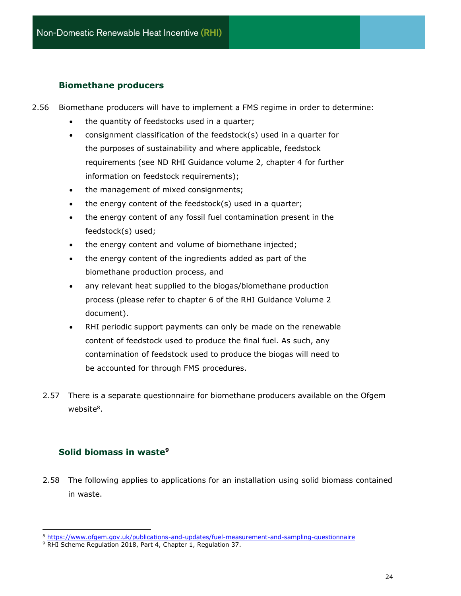## **Biomethane producers**

- 2.56 Biomethane producers will have to implement a FMS regime in order to determine:
	- the quantity of feedstocks used in a quarter;
	- consignment classification of the feedstock(s) used in a quarter for the purposes of sustainability and where applicable, feedstock requirements (see ND RHI Guidance volume 2, chapter 4 for further information on feedstock requirements);
	- the management of mixed consignments;
	- the energy content of the feedstock(s) used in a quarter;
	- the energy content of any fossil fuel contamination present in the feedstock(s) used;
	- the energy content and volume of biomethane injected;
	- the energy content of the ingredients added as part of the biomethane production process, and
	- any relevant heat supplied to the biogas/biomethane production process (please refer to chapter 6 of the RHI Guidance Volume 2 document).
	- RHI periodic support payments can only be made on the renewable content of feedstock used to produce the final fuel. As such, any contamination of feedstock used to produce the biogas will need to be accounted for through FMS procedures.
	- 2.57 There is a separate questionnaire for biomethane producers available on the Ofgem website<sup>8</sup>.

## <span id="page-23-0"></span>**Solid biomass in waste<sup>9</sup>**

2.58 The following applies to applications for an installation using solid biomass contained in waste.

<sup>8</sup> <https://www.ofgem.gov.uk/publications-and-updates/fuel-measurement-and-sampling-questionnaire>

<sup>&</sup>lt;sup>9</sup> RHI Scheme Regulation 2018, Part 4, Chapter 1, Regulation 37.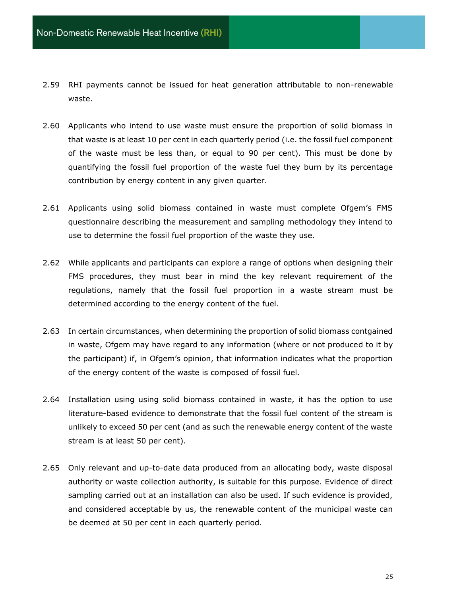- 2.59 RHI payments cannot be issued for heat generation attributable to non-renewable waste.
- 2.60 Applicants who intend to use waste must ensure the proportion of solid biomass in that waste is at least 10 per cent in each quarterly period (i.e. the fossil fuel component of the waste must be less than, or equal to 90 per cent). This must be done by quantifying the fossil fuel proportion of the waste fuel they burn by its percentage contribution by energy content in any given quarter.
- 2.61 Applicants using solid biomass contained in waste must complete Ofgem's FMS questionnaire describing the measurement and sampling methodology they intend to use to determine the fossil fuel proportion of the waste they use.
- 2.62 While applicants and participants can explore a range of options when designing their FMS procedures, they must bear in mind the key relevant requirement of the regulations, namely that the fossil fuel proportion in a waste stream must be determined according to the energy content of the fuel.
- 2.63 In certain circumstances, when determining the proportion of solid biomass contgained in waste, Ofgem may have regard to any information (where or not produced to it by the participant) if, in Ofgem's opinion, that information indicates what the proportion of the energy content of the waste is composed of fossil fuel.
- 2.64 Installation using using solid biomass contained in waste, it has the option to use literature-based evidence to demonstrate that the fossil fuel content of the stream is unlikely to exceed 50 per cent (and as such the renewable energy content of the waste stream is at least 50 per cent).
- 2.65 Only relevant and up-to-date data produced from an allocating body, waste disposal authority or waste collection authority, is suitable for this purpose. Evidence of direct sampling carried out at an installation can also be used. If such evidence is provided, and considered acceptable by us, the renewable content of the municipal waste can be deemed at 50 per cent in each quarterly period.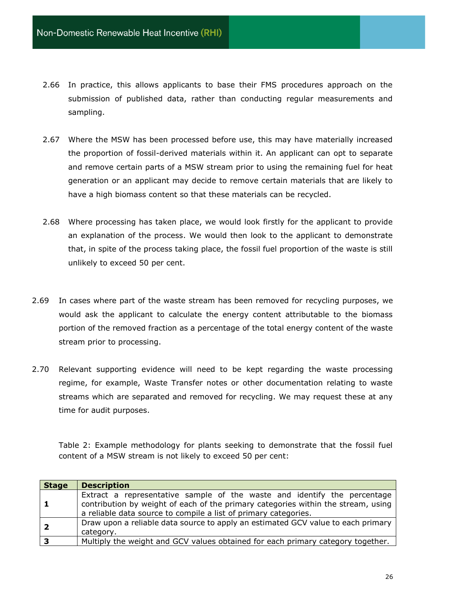- 2.66 In practice, this allows applicants to base their FMS procedures approach on the submission of published data, rather than conducting regular measurements and sampling.
- 2.67 Where the MSW has been processed before use, this may have materially increased the proportion of fossil-derived materials within it. An applicant can opt to separate and remove certain parts of a MSW stream prior to using the remaining fuel for heat generation or an applicant may decide to remove certain materials that are likely to have a high biomass content so that these materials can be recycled.
- 2.68 Where processing has taken place, we would look firstly for the applicant to provide an explanation of the process. We would then look to the applicant to demonstrate that, in spite of the process taking place, the fossil fuel proportion of the waste is still unlikely to exceed 50 per cent.
- 2.69 In cases where part of the waste stream has been removed for recycling purposes, we would ask the applicant to calculate the energy content attributable to the biomass portion of the removed fraction as a percentage of the total energy content of the waste stream prior to processing.
- 2.70 Relevant supporting evidence will need to be kept regarding the waste processing regime, for example, Waste Transfer notes or other documentation relating to waste streams which are separated and removed for recycling. We may request these at any time for audit purposes.

Table 2: Example methodology for plants seeking to demonstrate that the fossil fuel content of a MSW stream is not likely to exceed 50 per cent:

| <b>Stage</b>            | <b>Description</b>                                                                                                                                                                                                               |
|-------------------------|----------------------------------------------------------------------------------------------------------------------------------------------------------------------------------------------------------------------------------|
| $\mathbf{1}$            | Extract a representative sample of the waste and identify the percentage<br>contribution by weight of each of the primary categories within the stream, using<br>a reliable data source to compile a list of primary categories. |
| $\overline{2}$          | Draw upon a reliable data source to apply an estimated GCV value to each primary<br>category.                                                                                                                                    |
| $\overline{\mathbf{3}}$ | Multiply the weight and GCV values obtained for each primary category together.                                                                                                                                                  |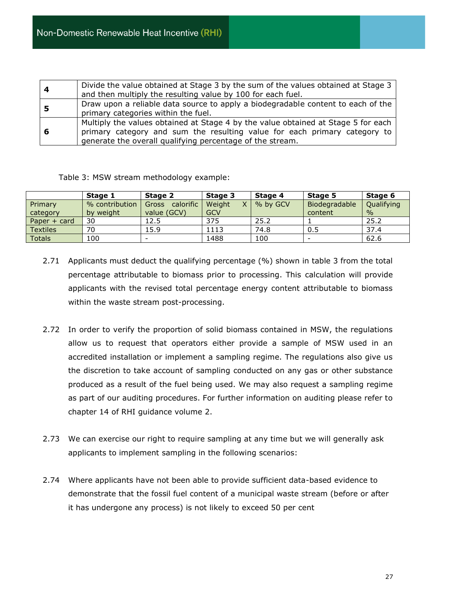| Divide the value obtained at Stage 3 by the sum of the values obtained at Stage 3<br>and then multiply the resulting value by 100 for each fuel.                                                                            |  |  |
|-----------------------------------------------------------------------------------------------------------------------------------------------------------------------------------------------------------------------------|--|--|
| Draw upon a reliable data source to apply a biodegradable content to each of the<br>primary categories within the fuel.                                                                                                     |  |  |
| Multiply the values obtained at Stage 4 by the value obtained at Stage 5 for each<br>primary category and sum the resulting value for each primary category to<br>generate the overall qualifying percentage of the stream. |  |  |

| Table 3: MSW stream methodology example: |
|------------------------------------------|
|                                          |

|                 | Stage 1        | Stage 2                  | Stage 3    | Stage 4  | Stage 5       | Stage 6    |
|-----------------|----------------|--------------------------|------------|----------|---------------|------------|
| Primary         | % contribution | calorific<br>Gross       | Weight     | % by GCV | Biodegradable | Qualifying |
| category        | by weight      | value (GCV)              | <b>GCV</b> |          | content       | $\%$       |
| Paper $+$ card  | 30             | 12.5                     | 375        | 25.2     |               | 25.2       |
| <b>Textiles</b> | 70             | 15.9                     | 1113       | 74.8     | 0.5           | 37.4       |
| <b>Totals</b>   | 100            | $\overline{\phantom{0}}$ | 1488       | 100      | -             | 62.6       |

- 2.71 Applicants must deduct the qualifying percentage (%) shown in table 3 from the total percentage attributable to biomass prior to processing. This calculation will provide applicants with the revised total percentage energy content attributable to biomass within the waste stream post-processing.
- 2.72 In order to verify the proportion of solid biomass contained in MSW, the regulations allow us to request that operators either provide a sample of MSW used in an accredited installation or implement a sampling regime. The regulations also give us the discretion to take account of sampling conducted on any gas or other substance produced as a result of the fuel being used. We may also request a sampling regime as part of our auditing procedures. For further information on auditing please refer to chapter 14 of RHI guidance volume 2.
- 2.73 We can exercise our right to require sampling at any time but we will generally ask applicants to implement sampling in the following scenarios:
- 2.74 Where applicants have not been able to provide sufficient data-based evidence to demonstrate that the fossil fuel content of a municipal waste stream (before or after it has undergone any process) is not likely to exceed 50 per cent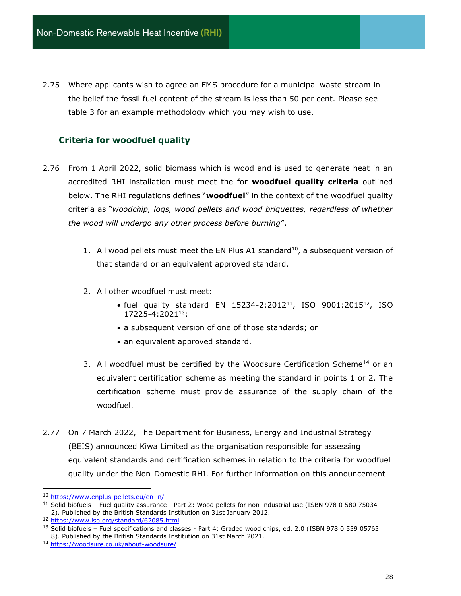2.75 Where applicants wish to agree an FMS procedure for a municipal waste stream in the belief the fossil fuel content of the stream is less than 50 per cent. Please see table 3 for an example methodology which you may wish to use.

## **Criteria for woodfuel quality**

- 2.76 From 1 April 2022, solid biomass which is wood and is used to generate heat in an accredited RHI installation must meet the for **woodfuel quality criteria** outlined below. The RHI regulations defines "**woodfuel**" in the context of the woodfuel quality criteria as "*woodchip, logs, wood pellets and wood briquettes, regardless of whether the wood will undergo any other process before burning*".
	- 1. All wood pellets must meet the EN Plus A1 standard<sup>10</sup>, a subsequent version of that standard or an equivalent approved standard.
	- 2. All other woodfuel must meet:
		- fuel quality standard EN 15234-2:2012<sup>11</sup>, ISO 9001:2015<sup>12</sup>, ISO 17225-4:2021<sup>13</sup>;
		- a subsequent version of one of those standards; or
		- an equivalent approved standard.
	- 3. All woodfuel must be certified by the Woodsure Certification Scheme<sup>14</sup> or an equivalent certification scheme as meeting the standard in points 1 or 2. The certification scheme must provide assurance of the supply chain of the woodfuel.
- 2.77 On 7 March 2022, The Department for Business, Energy and Industrial Strategy (BEIS) announced Kiwa Limited as the organisation responsible for assessing equivalent standards and certification schemes in relation to the criteria for woodfuel quality under the Non-Domestic RHI. For further information on this announcement

<sup>10</sup> <https://www.enplus-pellets.eu/en-in/>

<sup>&</sup>lt;sup>11</sup> Solid biofuels - Fuel quality assurance - Part 2: Wood pellets for non-industrial use (ISBN 978 0 580 75034 2). Published by the British Standards Institution on 31st January 2012.

<sup>12</sup> <https://www.iso.org/standard/62085.html>

<sup>&</sup>lt;sup>13</sup> Solid biofuels – Fuel specifications and classes - Part 4: Graded wood chips, ed. 2.0 (ISBN 978 0 539 05763 8). Published by the British Standards Institution on 31st March 2021.

<sup>14</sup> <https://woodsure.co.uk/about-woodsure/>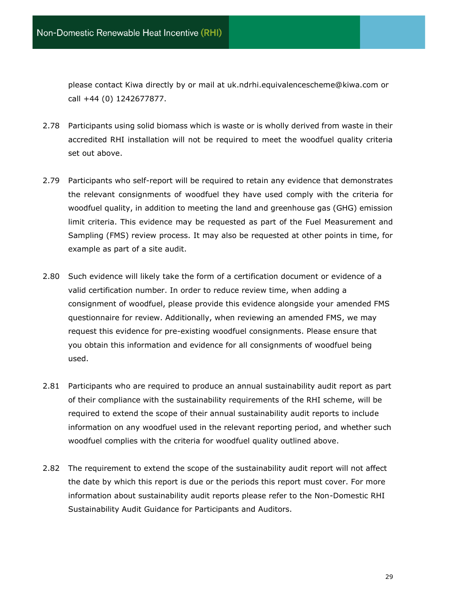please contact Kiwa directly by or mail at uk.ndrhi.equivalencescheme@kiwa.com or call +44 (0) 1242677877.

- 2.78 Participants using solid biomass which is waste or is wholly derived from waste in their accredited RHI installation will not be required to meet the woodfuel quality criteria set out above.
- 2.79 Participants who self-report will be required to retain any evidence that demonstrates the relevant consignments of woodfuel they have used comply with the criteria for woodfuel quality, in addition to meeting the land and greenhouse gas (GHG) emission limit criteria. This evidence may be requested as part of the Fuel Measurement and Sampling (FMS) review process. It may also be requested at other points in time, for example as part of a site audit.
- 2.80 Such evidence will likely take the form of a certification document or evidence of a valid certification number. In order to reduce review time, when adding a consignment of woodfuel, please provide this evidence alongside your amended FMS questionnaire for review. Additionally, when reviewing an amended FMS, we may request this evidence for pre-existing woodfuel consignments. Please ensure that you obtain this information and evidence for all consignments of woodfuel being used.
- 2.81 Participants who are required to produce an annual sustainability audit report as part of their compliance with the sustainability requirements of the RHI scheme, will be required to extend the scope of their annual sustainability audit reports to include information on any woodfuel used in the relevant reporting period, and whether such woodfuel complies with the criteria for woodfuel quality outlined above.
- 2.82 The requirement to extend the scope of the sustainability audit report will not affect the date by which this report is due or the periods this report must cover. For more information about sustainability audit reports please refer to the Non-Domestic RHI Sustainability Audit Guidance for Participants and Auditors.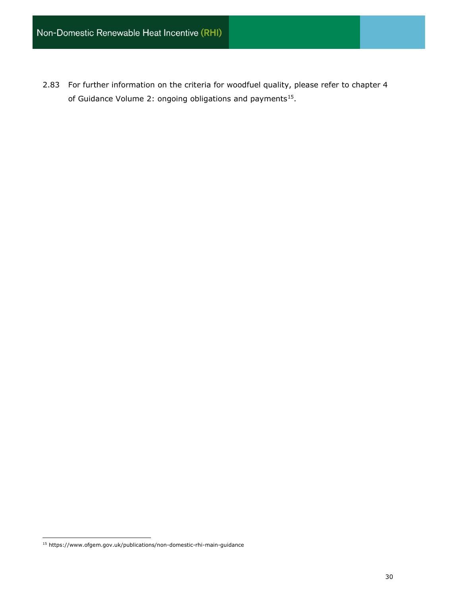2.83 For further information on the criteria for woodfuel quality, please refer to chapter 4 of Guidance Volume 2: ongoing obligations and payments<sup>15</sup>.

<sup>15</sup> https://www.ofgem.gov.uk/publications/non-domestic-rhi-main-guidance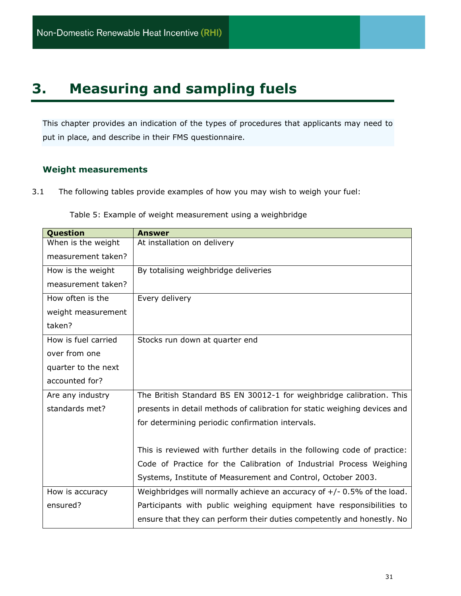## <span id="page-30-0"></span>**3. Measuring and sampling fuels**

This chapter provides an indication of the types of procedures that applicants may need to put in place, and describe in their FMS questionnaire.

## <span id="page-30-1"></span>**Weight measurements**

3.1 The following tables provide examples of how you may wish to weigh your fuel:

| Question            | <b>Answer</b>                                                             |
|---------------------|---------------------------------------------------------------------------|
| When is the weight  | At installation on delivery                                               |
| measurement taken?  |                                                                           |
| How is the weight   | By totalising weighbridge deliveries                                      |
| measurement taken?  |                                                                           |
| How often is the    | Every delivery                                                            |
| weight measurement  |                                                                           |
| taken?              |                                                                           |
| How is fuel carried | Stocks run down at quarter end                                            |
| over from one       |                                                                           |
| quarter to the next |                                                                           |
| accounted for?      |                                                                           |
| Are any industry    | The British Standard BS EN 30012-1 for weighbridge calibration. This      |
| standards met?      | presents in detail methods of calibration for static weighing devices and |
|                     | for determining periodic confirmation intervals.                          |
|                     |                                                                           |
|                     | This is reviewed with further details in the following code of practice:  |
|                     | Code of Practice for the Calibration of Industrial Process Weighing       |
|                     | Systems, Institute of Measurement and Control, October 2003.              |
| How is accuracy     | Weighbridges will normally achieve an accuracy of $+/- 0.5%$ of the load. |
| ensured?            | Participants with public weighing equipment have responsibilities to      |
|                     | ensure that they can perform their duties competently and honestly. No    |

Table 5: Example of weight measurement using a weighbridge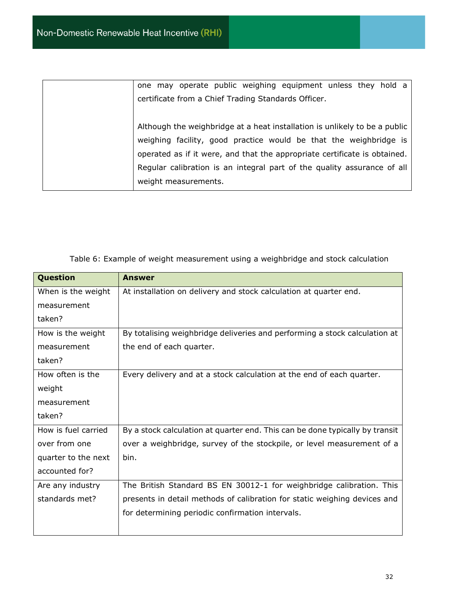|                      |  | one may operate public weighing equipment unless they hold a                                                                                                                                                                                                                                            |  |  |
|----------------------|--|---------------------------------------------------------------------------------------------------------------------------------------------------------------------------------------------------------------------------------------------------------------------------------------------------------|--|--|
|                      |  | certificate from a Chief Trading Standards Officer.                                                                                                                                                                                                                                                     |  |  |
| weight measurements. |  | Although the weighbridge at a heat installation is unlikely to be a public<br>weighing facility, good practice would be that the weighbridge is<br>operated as if it were, and that the appropriate certificate is obtained.<br>Regular calibration is an integral part of the quality assurance of all |  |  |

| Question            | <b>Answer</b>                                                                |
|---------------------|------------------------------------------------------------------------------|
| When is the weight  | At installation on delivery and stock calculation at quarter end.            |
| measurement         |                                                                              |
| taken?              |                                                                              |
| How is the weight   | By totalising weighbridge deliveries and performing a stock calculation at   |
| measurement         | the end of each quarter.                                                     |
| taken?              |                                                                              |
| How often is the    | Every delivery and at a stock calculation at the end of each quarter.        |
| weight              |                                                                              |
| measurement         |                                                                              |
| taken?              |                                                                              |
| How is fuel carried | By a stock calculation at quarter end. This can be done typically by transit |
| over from one       | over a weighbridge, survey of the stockpile, or level measurement of a       |
| quarter to the next | bin.                                                                         |
| accounted for?      |                                                                              |
| Are any industry    | The British Standard BS EN 30012-1 for weighbridge calibration. This         |
| standards met?      | presents in detail methods of calibration for static weighing devices and    |
|                     | for determining periodic confirmation intervals.                             |
|                     |                                                                              |

Table 6: Example of weight measurement using a weighbridge and stock calculation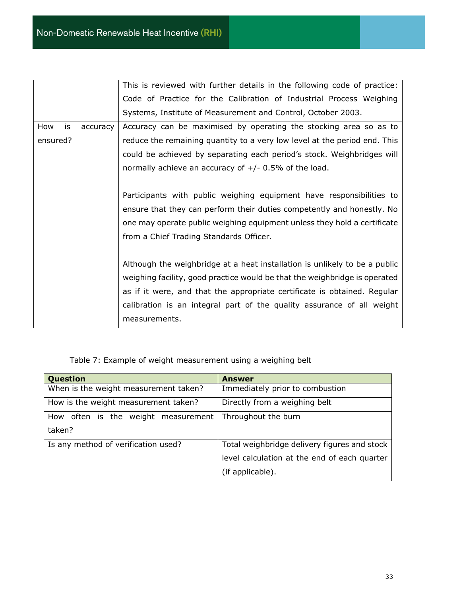|          |    |          | This is reviewed with further details in the following code of practice:   |
|----------|----|----------|----------------------------------------------------------------------------|
|          |    |          | Code of Practice for the Calibration of Industrial Process Weighing        |
|          |    |          | Systems, Institute of Measurement and Control, October 2003.               |
| How      | is | accuracy | Accuracy can be maximised by operating the stocking area so as to          |
| ensured? |    |          | reduce the remaining quantity to a very low level at the period end. This  |
|          |    |          | could be achieved by separating each period's stock. Weighbridges will     |
|          |    |          | normally achieve an accuracy of $+/- 0.5%$ of the load.                    |
|          |    |          |                                                                            |
|          |    |          | Participants with public weighing equipment have responsibilities to       |
|          |    |          | ensure that they can perform their duties competently and honestly. No     |
|          |    |          | one may operate public weighing equipment unless they hold a certificate   |
|          |    |          | from a Chief Trading Standards Officer.                                    |
|          |    |          |                                                                            |
|          |    |          | Although the weighbridge at a heat installation is unlikely to be a public |
|          |    |          | weighing facility, good practice would be that the weighbridge is operated |
|          |    |          | as if it were, and that the appropriate certificate is obtained. Regular   |
|          |    |          | calibration is an integral part of the quality assurance of all weight     |
|          |    |          | measurements.                                                              |

Table 7: Example of weight measurement using a weighing belt

| <b>Question</b>                               | <b>Answer</b>                                                                                                    |
|-----------------------------------------------|------------------------------------------------------------------------------------------------------------------|
| When is the weight measurement taken?         | Immediately prior to combustion                                                                                  |
| How is the weight measurement taken?          | Directly from a weighing belt                                                                                    |
| How often is the weight measurement<br>taken? | Throughout the burn                                                                                              |
| Is any method of verification used?           | Total weighbridge delivery figures and stock<br>level calculation at the end of each quarter<br>(if applicable). |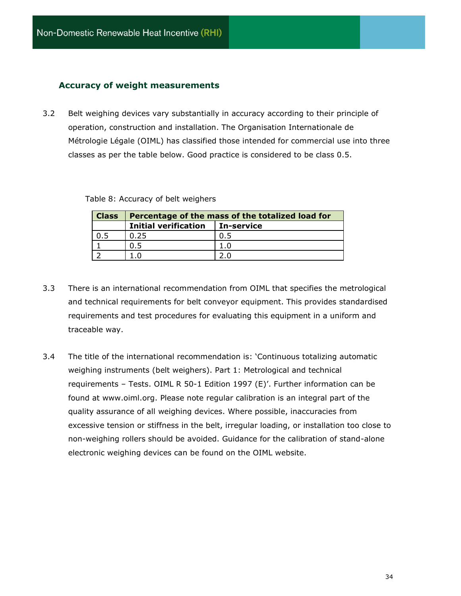## <span id="page-33-0"></span>**Accuracy of weight measurements**

3.2 Belt weighing devices vary substantially in accuracy according to their principle of operation, construction and installation. The Organisation Internationale de Métrologie Légale (OIML) has classified those intended for commercial use into three classes as per the table below. Good practice is considered to be class 0.5.

| Table 8: Accuracy of belt weighers |  |  |  |
|------------------------------------|--|--|--|
|------------------------------------|--|--|--|

| <b>Class</b> | Percentage of the mass of the totalized load for |            |  |
|--------------|--------------------------------------------------|------------|--|
|              | <b>Initial verification</b>                      | In-service |  |
|              | 0.25                                             |            |  |
|              |                                                  |            |  |
|              |                                                  |            |  |

- 3.3 There is an international recommendation from OIML that specifies the metrological and technical requirements for belt conveyor equipment. This provides standardised requirements and test procedures for evaluating this equipment in a uniform and traceable way.
- 3.4 The title of the international recommendation is: 'Continuous totalizing automatic weighing instruments (belt weighers). Part 1: Metrological and technical requirements – Tests. OIML R 50-1 Edition 1997 (E)'. Further information can be found at [www.oiml.org.](http://www.oiml.org/) Please note regular calibration is an integral part of the quality assurance of all weighing devices. Where possible, inaccuracies from excessive tension or stiffness in the belt, irregular loading, or installation too close to non-weighing rollers should be avoided. Guidance for the calibration of stand-alone electronic weighing devices can be found on the OIML website.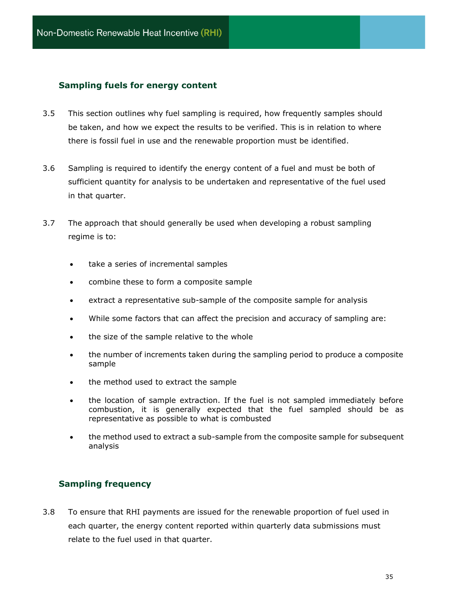## **Sampling fuels for energy content**

- 3.5 This section outlines why fuel sampling is required, how frequently samples should be taken, and how we expect the results to be verified. This is in relation to where there is fossil fuel in use and the renewable proportion must be identified.
- 3.6 Sampling is required to identify the energy content of a fuel and must be both of sufficient quantity for analysis to be undertaken and representative of the fuel used in that quarter.
- 3.7 The approach that should generally be used when developing a robust sampling regime is to:
	- take a series of incremental samples
	- combine these to form a composite sample
	- extract a representative sub-sample of the composite sample for analysis
	- While some factors that can affect the precision and accuracy of sampling are:
	- the size of the sample relative to the whole
	- the number of increments taken during the sampling period to produce a composite sample
	- the method used to extract the sample
	- the location of sample extraction. If the fuel is not sampled immediately before combustion, it is generally expected that the fuel sampled should be as representative as possible to what is combusted
	- the method used to extract a sub-sample from the composite sample for subsequent analysis

## <span id="page-34-0"></span>**Sampling frequency**

3.8 To ensure that RHI payments are issued for the renewable proportion of fuel used in each quarter, the energy content reported within quarterly data submissions must relate to the fuel used in that quarter.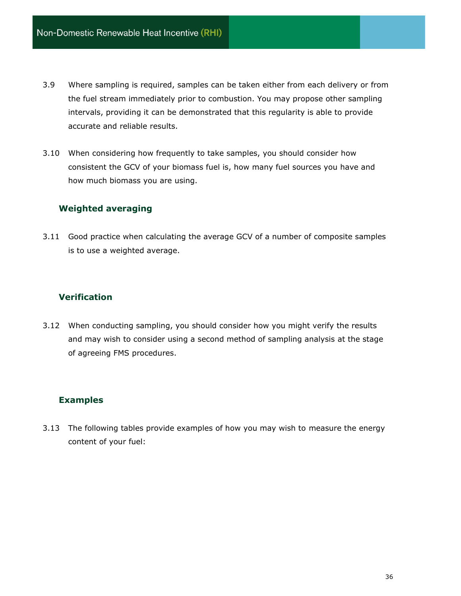- 3.9 Where sampling is required, samples can be taken either from each delivery or from the fuel stream immediately prior to combustion. You may propose other sampling intervals, providing it can be demonstrated that this regularity is able to provide accurate and reliable results.
- 3.10 When considering how frequently to take samples, you should consider how consistent the GCV of your biomass fuel is, how many fuel sources you have and how much biomass you are using.

## <span id="page-35-0"></span>**Weighted averaging**

3.11 Good practice when calculating the average GCV of a number of composite samples is to use a weighted average.

## <span id="page-35-1"></span>**Verification**

3.12 When conducting sampling, you should consider how you might verify the results and may wish to consider using a second method of sampling analysis at the stage of agreeing FMS procedures.

## **Examples**

3.13 The following tables provide examples of how you may wish to measure the energy content of your fuel: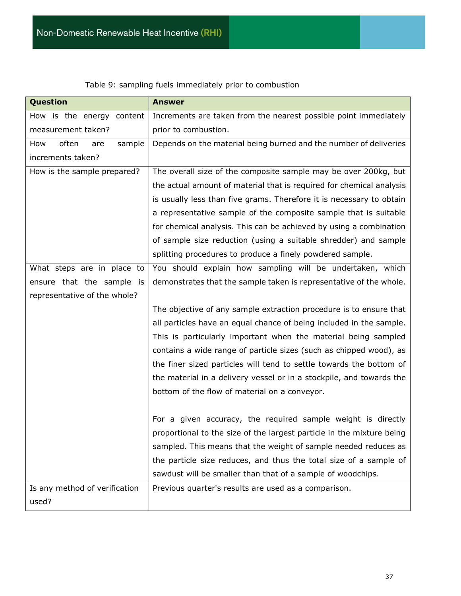| Question                      | <b>Answer</b>                                                         |
|-------------------------------|-----------------------------------------------------------------------|
| How is the energy content     | Increments are taken from the nearest possible point immediately      |
| measurement taken?            | prior to combustion.                                                  |
| sample<br>How<br>often<br>are | Depends on the material being burned and the number of deliveries     |
| increments taken?             |                                                                       |
| How is the sample prepared?   | The overall size of the composite sample may be over 200kg, but       |
|                               | the actual amount of material that is required for chemical analysis  |
|                               | is usually less than five grams. Therefore it is necessary to obtain  |
|                               | a representative sample of the composite sample that is suitable      |
|                               | for chemical analysis. This can be achieved by using a combination    |
|                               | of sample size reduction (using a suitable shredder) and sample       |
|                               | splitting procedures to produce a finely powdered sample.             |
| What steps are in place to    | You should explain how sampling will be undertaken, which             |
| ensure that the sample is     | demonstrates that the sample taken is representative of the whole.    |
| representative of the whole?  |                                                                       |
|                               | The objective of any sample extraction procedure is to ensure that    |
|                               | all particles have an equal chance of being included in the sample.   |
|                               | This is particularly important when the material being sampled        |
|                               | contains a wide range of particle sizes (such as chipped wood), as    |
|                               | the finer sized particles will tend to settle towards the bottom of   |
|                               | the material in a delivery vessel or in a stockpile, and towards the  |
|                               | bottom of the flow of material on a conveyor.                         |
|                               |                                                                       |
|                               | For a given accuracy, the required sample weight is directly          |
|                               | proportional to the size of the largest particle in the mixture being |
|                               | sampled. This means that the weight of sample needed reduces as       |
|                               | the particle size reduces, and thus the total size of a sample of     |
|                               | sawdust will be smaller than that of a sample of woodchips.           |
| Is any method of verification | Previous quarter's results are used as a comparison.                  |
| used?                         |                                                                       |

Table 9: sampling fuels immediately prior to combustion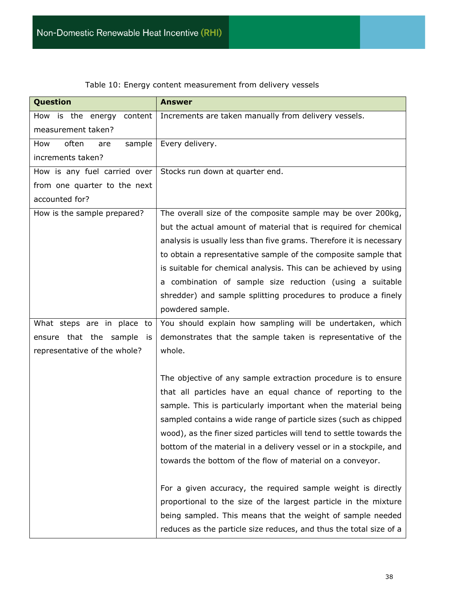| Question                        | <b>Answer</b>                                                       |
|---------------------------------|---------------------------------------------------------------------|
| is the energy<br>content<br>How | Increments are taken manually from delivery vessels.                |
| measurement taken?              |                                                                     |
| often<br>sample<br>How<br>are   | Every delivery.                                                     |
| increments taken?               |                                                                     |
| How is any fuel carried over    | Stocks run down at quarter end.                                     |
| from one quarter to the next    |                                                                     |
| accounted for?                  |                                                                     |
| How is the sample prepared?     | The overall size of the composite sample may be over 200kg,         |
|                                 | but the actual amount of material that is required for chemical     |
|                                 | analysis is usually less than five grams. Therefore it is necessary |
|                                 | to obtain a representative sample of the composite sample that      |
|                                 | is suitable for chemical analysis. This can be achieved by using    |
|                                 | a combination of sample size reduction (using a suitable            |
|                                 | shredder) and sample splitting procedures to produce a finely       |
|                                 | powdered sample.                                                    |
| What steps are in place to      | You should explain how sampling will be undertaken, which           |
| ensure that the sample is       | demonstrates that the sample taken is representative of the         |
| representative of the whole?    | whole.                                                              |
|                                 |                                                                     |
|                                 | The objective of any sample extraction procedure is to ensure       |
|                                 | that all particles have an equal chance of reporting to the         |
|                                 | sample. This is particularly important when the material being      |
|                                 | sampled contains a wide range of particle sizes (such as chipped    |
|                                 | wood), as the finer sized particles will tend to settle towards the |
|                                 | bottom of the material in a delivery vessel or in a stockpile, and  |
|                                 | towards the bottom of the flow of material on a conveyor.           |
|                                 |                                                                     |
|                                 | For a given accuracy, the required sample weight is directly        |
|                                 | proportional to the size of the largest particle in the mixture     |
|                                 | being sampled. This means that the weight of sample needed          |
|                                 | reduces as the particle size reduces, and thus the total size of a  |

Table 10: Energy content measurement from delivery vessels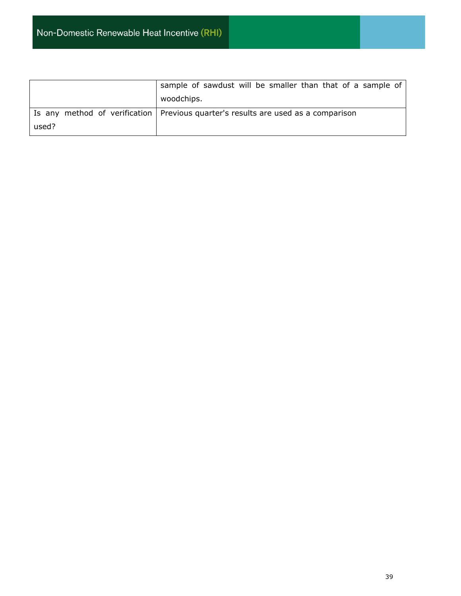|       | sample of sawdust will be smaller than that of a sample of                          |
|-------|-------------------------------------------------------------------------------------|
|       | woodchips.                                                                          |
|       | Is any method of verification   Previous quarter's results are used as a comparison |
| used? |                                                                                     |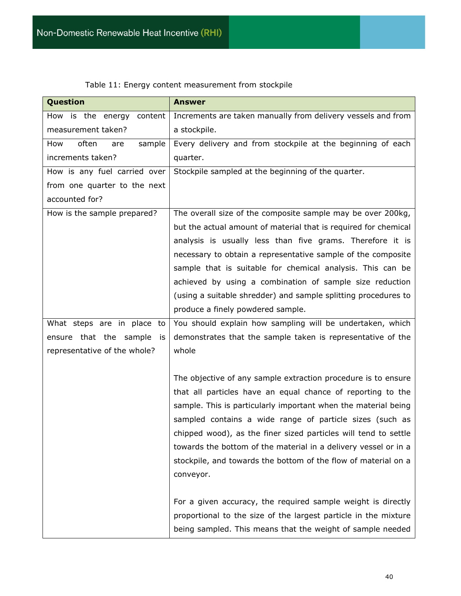| <b>Question</b>               | <b>Answer</b>                                                   |
|-------------------------------|-----------------------------------------------------------------|
| How is the energy<br>content  | Increments are taken manually from delivery vessels and from    |
| measurement taken?            | a stockpile.                                                    |
| often<br>sample<br>How<br>are | Every delivery and from stockpile at the beginning of each      |
| increments taken?             | quarter.                                                        |
| How is any fuel carried over  | Stockpile sampled at the beginning of the quarter.              |
| from one quarter to the next  |                                                                 |
| accounted for?                |                                                                 |
| How is the sample prepared?   | The overall size of the composite sample may be over 200kg,     |
|                               | but the actual amount of material that is required for chemical |
|                               | analysis is usually less than five grams. Therefore it is       |
|                               | necessary to obtain a representative sample of the composite    |
|                               | sample that is suitable for chemical analysis. This can be      |
|                               | achieved by using a combination of sample size reduction        |
|                               | (using a suitable shredder) and sample splitting procedures to  |
|                               | produce a finely powdered sample.                               |
| What steps are in place to    | You should explain how sampling will be undertaken, which       |
| ensure that the sample is     | demonstrates that the sample taken is representative of the     |
| representative of the whole?  | whole                                                           |
|                               |                                                                 |
|                               | The objective of any sample extraction procedure is to ensure   |
|                               | that all particles have an equal chance of reporting to the     |
|                               | sample. This is particularly important when the material being  |
|                               | sampled contains a wide range of particle sizes (such as        |
|                               | chipped wood), as the finer sized particles will tend to settle |
|                               | towards the bottom of the material in a delivery vessel or in a |
|                               | stockpile, and towards the bottom of the flow of material on a  |
|                               | conveyor.                                                       |
|                               |                                                                 |
|                               | For a given accuracy, the required sample weight is directly    |
|                               | proportional to the size of the largest particle in the mixture |
|                               | being sampled. This means that the weight of sample needed      |

## Table 11: Energy content measurement from stockpile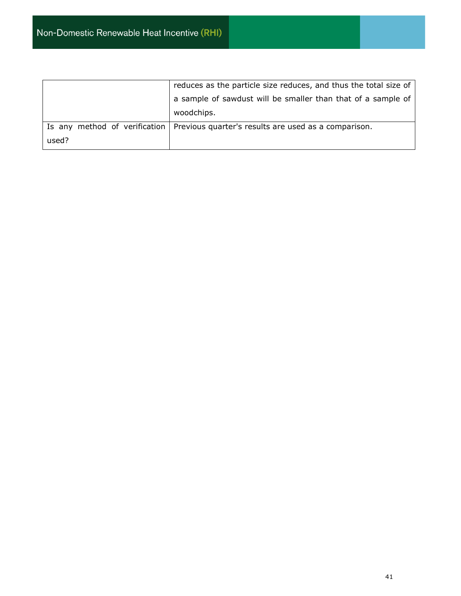|                               | reduces as the particle size reduces, and thus the total size of |  |
|-------------------------------|------------------------------------------------------------------|--|
|                               | a sample of sawdust will be smaller than that of a sample of     |  |
|                               | woodchips.                                                       |  |
| Is any method of verification | Previous quarter's results are used as a comparison.             |  |
| used?                         |                                                                  |  |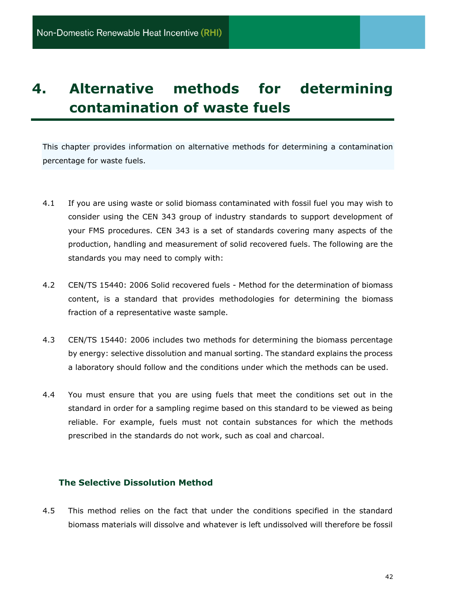## <span id="page-41-0"></span>**4. Alternative methods for determining contamination of waste fuels**

This chapter provides information on alternative methods for determining a contamination percentage for waste fuels.

- 4.1 If you are using waste or solid biomass contaminated with fossil fuel you may wish to consider using the CEN 343 group of industry standards to support development of your FMS procedures. CEN 343 is a set of standards covering many aspects of the production, handling and measurement of solid recovered fuels. The following are the standards you may need to comply with:
- 4.2 CEN/TS 15440: 2006 Solid recovered fuels Method for the determination of biomass content, is a standard that provides methodologies for determining the biomass fraction of a representative waste sample.
- 4.3 CEN/TS 15440: 2006 includes two methods for determining the biomass percentage by energy: selective dissolution and manual sorting. The standard explains the process a laboratory should follow and the conditions under which the methods can be used.
- 4.4 You must ensure that you are using fuels that meet the conditions set out in the standard in order for a sampling regime based on this standard to be viewed as being reliable. For example, fuels must not contain substances for which the methods prescribed in the standards do not work, such as coal and charcoal.

## **The Selective Dissolution Method**

4.5 This method relies on the fact that under the conditions specified in the standard biomass materials will dissolve and whatever is left undissolved will therefore be fossil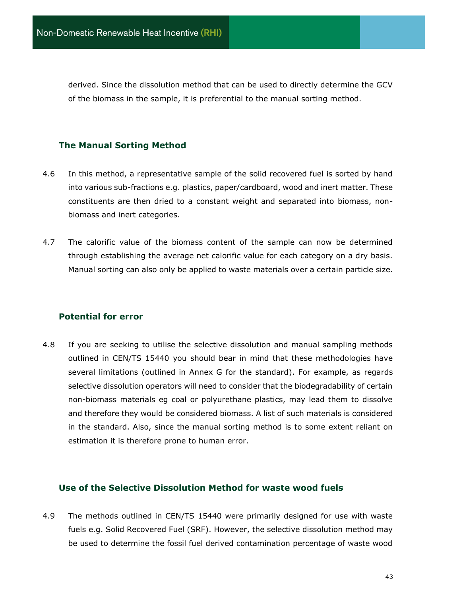derived. Since the dissolution method that can be used to directly determine the GCV of the biomass in the sample, it is preferential to the manual sorting method.

## **The Manual Sorting Method**

- 4.6 In this method, a representative sample of the solid recovered fuel is sorted by hand into various sub-fractions e.g. plastics, paper/cardboard, wood and inert matter. These constituents are then dried to a constant weight and separated into biomass, nonbiomass and inert categories.
- 4.7 The calorific value of the biomass content of the sample can now be determined through establishing the average net calorific value for each category on a dry basis. Manual sorting can also only be applied to waste materials over a certain particle size.

## **Potential for error**

4.8 If you are seeking to utilise the selective dissolution and manual sampling methods outlined in CEN/TS 15440 you should bear in mind that these methodologies have several limitations (outlined in Annex G for the standard). For example, as regards selective dissolution operators will need to consider that the biodegradability of certain non-biomass materials eg coal or polyurethane plastics, may lead them to dissolve and therefore they would be considered biomass. A list of such materials is considered in the standard. Also, since the manual sorting method is to some extent reliant on estimation it is therefore prone to human error.

#### **Use of the Selective Dissolution Method for waste wood fuels**

4.9 The methods outlined in CEN/TS 15440 were primarily designed for use with waste fuels e.g. Solid Recovered Fuel (SRF). However, the selective dissolution method may be used to determine the fossil fuel derived contamination percentage of waste wood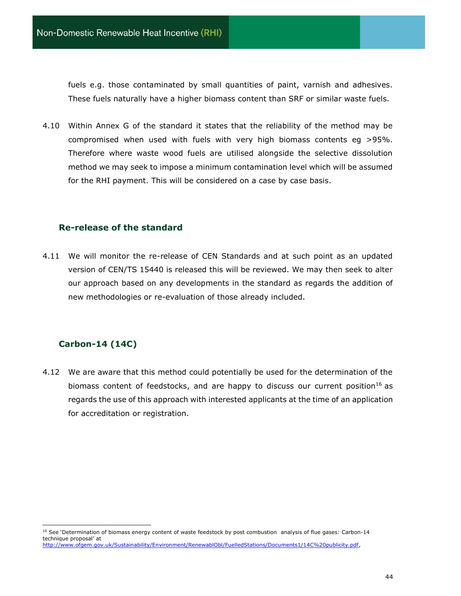fuels e.g. those contaminated by small quantities of paint, varnish and adhesives. These fuels naturally have a higher biomass content than SRF or similar waste fuels.

4.10 Within Annex G of the standard it states that the reliability of the method may be compromised when used with fuels with very high biomass contents eg >95%. Therefore where waste wood fuels are utilised alongside the selective dissolution method we may seek to impose a minimum contamination level which will be assumed for the RHI payment. This will be considered on a case by case basis.

#### **Re-release of the standard**

4.11 We will monitor the re-release of CEN Standards and at such point as an updated version of CEN/TS 15440 is released this will be reviewed. We may then seek to alter our approach based on any developments in the standard as regards the addition of new methodologies or re-evaluation of those already included.

## **Carbon-14 (14C)**

4.12 We are aware that this method could potentially be used for the determination of the biomass content of feedstocks, and are happy to discuss our current position<sup>16</sup> as regards the use of this approach with interested applicants at the time of an application for accreditation or registration.

<sup>&</sup>lt;sup>16</sup> See 'Determination of biomass energy content of waste feedstock by post combustion analysis of flue gases: Carbon-14 technique proposal' at

[http://www.ofgem.gov.uk/Sustainability/Environment/RenewablObl/FuelledStations/Documents1/14C%20publicity.pdf,](http://www.ofgem.gov.uk/Sustainability/Environment/RenewablObl/FuelledStations/Documents1/14C%20publicity.pdf)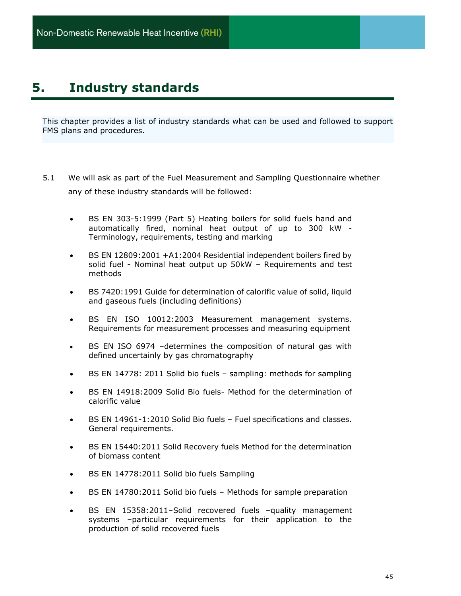## <span id="page-44-0"></span>**5. Industry standards**

This chapter provides a list of industry standards what can be used and followed to support FMS plans and procedures.

- 5.1 We will ask as part of the Fuel Measurement and Sampling Questionnaire whether any of these industry standards will be followed:
	- BS EN 303-5:1999 (Part 5) Heating boilers for solid fuels hand and automatically fired, nominal heat output of up to 300 kW - Terminology, requirements, testing and marking
	- BS EN 12809:2001 +A1:2004 Residential independent boilers fired by solid fuel - Nominal heat output up 50kW – Requirements and test methods
	- BS 7420:1991 Guide for determination of calorific value of solid, liquid and gaseous fuels (including definitions)
	- BS EN ISO 10012:2003 Measurement management systems. Requirements for measurement processes and measuring equipment
	- BS EN ISO 6974 –determines the composition of natural gas with defined uncertainly by gas chromatography
	- BS EN 14778: 2011 Solid bio fuels sampling: methods for sampling
	- BS EN 14918:2009 Solid Bio fuels- Method for the determination of calorific value
	- BS EN 14961-1:2010 Solid Bio fuels Fuel specifications and classes. General requirements.
	- BS EN 15440:2011 Solid Recovery fuels Method for the determination of biomass content
	- BS EN 14778:2011 Solid bio fuels Sampling
	- BS EN 14780:2011 Solid bio fuels Methods for sample preparation
	- BS EN 15358:2011-Solid recovered fuels -quality management systems –particular requirements for their application to the production of solid recovered fuels